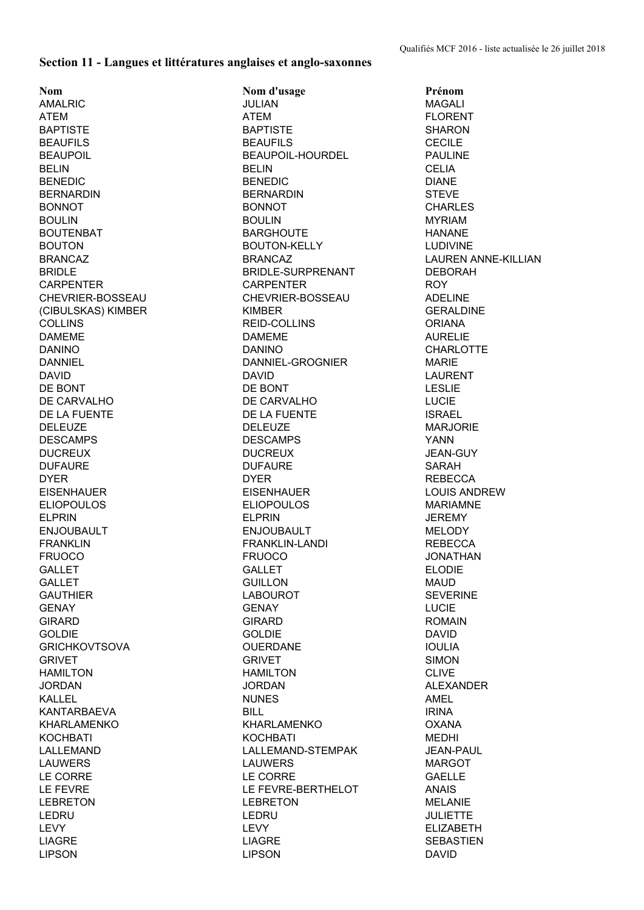## **Section 11 - Langues et littératures anglaises et anglo-saxonnes**

**Nom Nom d'usage Prénom** AMALRIC JULIAN MAGALI ATEM ATEM FLORENT BAPTISTE SHARON BAPTISTE SHARON BEAUFILS BEAUFILS CECILE BEAUPOIL BEAUPOIL-HOURDEL PAULINE BELIN CELIA BENEDIC DIANE BENEDIC BENEDIC DIANE BERNARDIN BERNARDIN STEVE BONNOT BONNOT BONNOT BONNOT BONNOT BONNOT CHARLES BOULIN BOULIN MYRIAM BOUTENBAT BARGHOUTE HANANE BOUTON BOUTON-KELLY LUDIVINE BRANCAZ BRANCAZ LAUREN ANNE-KILLIAN BRIDLE BRIDLE-SURPRENANT DEBORAH CARPENTER CARPENTER ROY CHEVRIER-BOSSEAU CHEVRIER-BOSSEAU ADELINE (CIBULSKAS) KIMBER KIMBER GERALDINE COLLINS REID-COLLINS ORIANA DAMEME AURELIE DANINO DANINO CHARLOTTE DANNIEL DANNIEL-GROGNIER MARIE DAVID DAVID LAURENT DE BONT LESLIE DE CARVALHO DE CARVALHO LUCIE DE LA FUENTE ISRAEL DELEUZE DELEUZE MARJORIE DESCAMPS DESCAMPS YANN DUCREUX DUCREUX JEAN-GUY DUFAURE DUFAURE SARAH DYER REBECCA NEWSLET DYER DYER REBECCA EISENHAUER EISENHAUER LOUIS ANDREW ELIOPOULOS ELIOPOULOS MARIAMNE ELPRIN ELPRIN JEREMY ENJOUBAULT ENJOUBAULT MELODY FRANKLIN FRANKLIN-LANDI REBECCA FRUOCO FRUOCO JONATHAN GALLET GALLET ELODIE GALLET GUILLON MAUD GAUTHIER LABOUROT SEVERINE GENAY GENAY LUCIE GIRARD GIRARD ROMAIN GOLDIE GOLDIE DAVID GRICHKOVTSOVA OUERDANE IOULIA GRIVET SIMON GRIVET SIMON HAMILTON HAMILTON CLIVE JORDAN JORDAN ALEXANDER KALLEL NUNES AMEL KANTARBAEVA BILL IRINA KHARLAMENKO KHARLAMENKO OXANA KOCHBATI MEDHI KOCHBATI MEDHI LALLEMAND LALLEMAND-STEMPAK JEAN-PAUL LAUWERS LAUWERS MARGOT LE CORRE LE CORRE GAELLE LE FEVRE LE FEVRE-BERTHELOT ANAIS LEBRETON LEBRETON MELANIE LEDRU LEDRU JULIETTE LEVY LEVY ELIZABETH LIAGRE LIAGRE SEBASTIEN LIPSON LIPSON DAVID